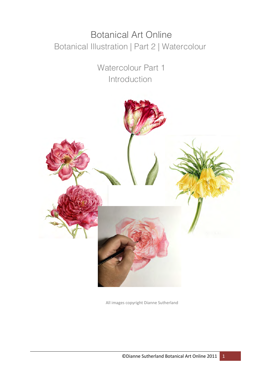# **Botanical Art Online** Botanical Illustration | Part 2 | Watercolour

Watercolour Part 1 Introduction



All images copyright Dianne Sutherland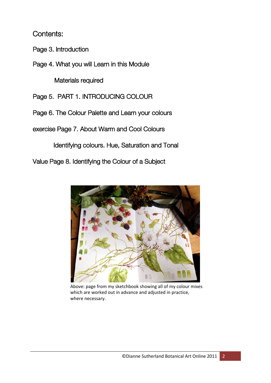# Contents:

Page 3. Introduction

Page 4. What you will Learn in this Module

Materials required

Page 5. PART 1. INTRODUCING COLOUR

Page 6. The Colour Palette and Learn your colours

exercise Page 7. About Warm and Cool Colours

Identifying colours. Hue, Saturation and Tonal

Value Page 8. Identifying the Colour of a Subject



Above: page from my sketchbook showing all of my colour mixes which are worked out in advance and adjusted in practice, where necessary.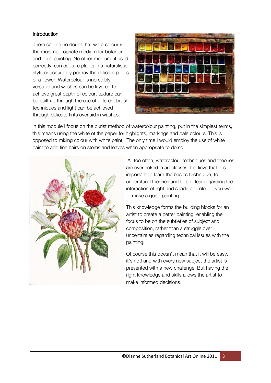## **Introduction**

There can be no doubt that watercolour is the most appropriate medium for botanical and floral painting. No other medium, if used correctly, can capture plants in a naturalistic style or accurately portray the delicate petals of a flower. Watercolour is incredibly versatile and washes can be layered to achieve great depth of colour, texture can be built up through the use of different brush techniques and light can be achieved through delicate tints overlaid in washes.



In this module I focus on the purist method of watercolour painting, put in the simplest terms, this means using the white of the paper for highlights, markings and pale colours. This is opposed to mixing colour with white paint. The only time I would employ the use of white paint to add fine hairs on stems and leaves when appropriate to do so.



All too often, watercolour techniques and theories are overlooked in art classes. I believe that it is important to learn the basics technique, to understand theories and to be clear regarding the interaction of light and shade on colour if you want to make a good painting.

This knowledge forms the building blocks for an artist to create a better painting, enabling the focus to be on the subtleties of subject and composition, rather than a struggle over uncertainties regarding technical issues with the painting.

Of course this doesn't mean that it will be easy, it's not! and with every new subject the artist is presented with a new challenge. But having the right knowledge and skills allows the artist to make informed decisions.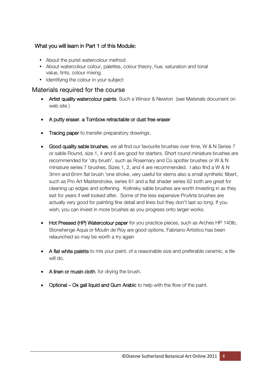# What you will learn in Part 1 of this Module:

- About the purist watercolour method
- About watercolour colour, palettes, colour theory, hue, saturation and tonal value, tints, colour mixing.
- Identifying the colour in your subject

## Materials required for the course

- Artist quality watercolour paints. Such a Winsor & Newton (see Materials document on web site )
- A putty eraser, a Tombow retractable or dust free eraser
- Tracing paper to transfer preparatory drawings.
- Good quality sable brushes, we all find our favourite brushes over time, W & N Series 7 or sable Round, size 1, 4 and 6 are good for starters. Short round miniature brushes are recommended for 'dry brush', such as Rosemary and Co spotter brushes or W & N miniature series 7 brushes, Sizes 1, 2, and 4 are recommended. I also find a W & N 3mm and 6mm flat brush 'one stroke, very useful for stems also a small synthetic filbert, such as Pro Art Masterstroke, series 61 and a flat shader series 62 both are great for cleaning up edges and softening. Kolinsky sable brushes are worth investing in as they last for years if well looked after. Some of the less expensive ProArte brushes are actually very good for painting fine detail and lines but they don't last so long. If you wish, you can invest in more brushes as you progress onto larger works.
- Hot Pressed (HP) Watercolour paper for you practice pieces, such as Arches HP 140lb, Stonehenge Aqua or Moulin de Roy are good options. Fabriano Artistico has been relaunched so may be worth a try again
- A flat white palette to mix your paint, of a reasonable size and preferable ceramic, a tile will do.
- A linen or musin cloth, for drying the brush.
- Optional Ox gall liquid and Gum Arabic to help with the flow of the paint.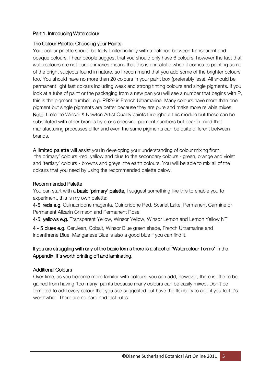#### Part 1. Introducing Watercolour

#### The Colour Palette: Choosing your Paints

Your colour palette should be fairly limited initially with a balance between transparent and opaque colours. I hear people suggest that you should only have 6 colours, however the fact that watercolours are not pure primaries means that this is unrealistic when it comes to painting some of the bright subjects found in nature, so I recommend that you add some of the brighter colours too. You should have no more than 20 colours in your paint box (preferably less). All should be permanent light fast colours including weak and strong tinting colours and single pigments. If you look at a tube of paint or the packaging from a new pan you will see a number that begins with P, this is the pigment number, e.g. PB29 is French Ultramarine. Many colours have more than one pigment but single pigments are better because they are pure and make more reliable mixes. Note: I refer to Winsor & Newton Artist Quality paints throughout this module but these can be substituted with other brands by cross checking pigment numbers but bear in mind that manufacturing processes differ and even the same pigments can be quite different between brands.

A limited palette will assist you in developing your understanding of colour mixing from the primary' colours -red, yellow and blue to the secondary colours - green, orange and violet and 'tertiary' colours - browns and greys; the earth colours. You will be able to mix all of the colours that you need by using the recommended palette below.

#### Recommended Palette

You can start with a **basic 'primary' palette,** I suggest something like this to enable you to experiment, this is my own palette:

4-5 reds e.g. Quinacridone magenta, Quincridone Red, Scarlet Lake, Permanent Carmine or Permanent Alizarin Crimson and Permanent Rose

4-5 yellows e.g. Transparent Yellow, Winsor Yellow, Winsor Lemon and Lemon Yellow NT

4 - 5 blues e.g. Cerulean, Cobalt, Winsor Blue green shade, French Ultramarine and Indanthrene Blue, Manganese Blue is also a good blue if you can find it. system.

## If you are struggling with any of the basic terms there is a sheet of 'Watercolour Terms' in the Appendix. It's worth printing off and laminating.

## Additional Colours

Over time, as you become more familiar with colours, you can add, however, there is little to be gained from having 'too many' paints because many colours can be easily mixed. Don't be tempted to add every colour that you see suggested but have the flexibility to add if you feel it's worthwhile. There are no hard and fast rules.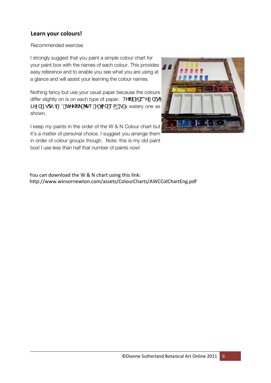# **Learn your colours!**

#### Recommended exercise

I strongly suggest that you paint a simple colour chart for your paint box with the names of each colour. This provides easy reference and to enable you see what you are using at a glance and will assist your learning the colour names.

Nothing fancy but use your usual paper because the colours differ slightly on is on each type of paper. HYfill Yiko YI[iddyson]  $JY[$  [godm Zq  $JY\setminus f$  /ge Y ja e ap Ig a watery one as shown.

I keep my paints in the order of the W & N Colour chart but it's a matter of personal choice. I suggest you arrange them in order of colour groups though. Note: this is my old paint box! I use less than half that number of paints now!



http://www.winsornewton.com/assets/ColourCharts/AWCColChartEng.pdf You can download the W & N chart using this link: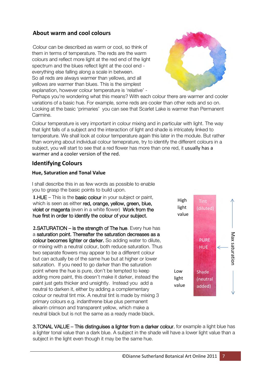## **About warm and cool colours**

Colour can be described as warm or cool, so think of them in terms of temperature. The reds are the warm colours and reflect more light at the red end of the light spectrum and the blues reflect light at the cool end everything else falling along a scale in between. So all reds are always warmer than yellows, and all yellows are warmer than blues. This is the simplest explanation, however colour temperature is 'relative' -



Perhaps you're wondering what this means? With each colour there are warmer and cooler variations of a basic hue. For example, some reds are cooler than other reds and so on. Looking at the basic 'primaries' you can see that Scarlet Lake is warmer than Permanent Carmine.

Colour temperature is very important in colour mixing and in particular with light. The way that light falls of a subject and the interaction of light and shade is intricately linked to temperature. We shall look at colour temperature again this later in the module. But rather than worrying about individual colour temeprature, try to identify the different colours in a subject, you will start to see that a red flower has more than one red, it usually has a warmer and a cooler version of the red.

## **Identifying Colours**

#### **Hue, Saturation and Tonal Value**

I shall describe this in as few words as possible to enable you to grasp the basic points to build upon.

**1.**HUE – This is the basic colour in your subject or paint, which is seen as either red, orange, yellow, green, blue, violet or magenta (even in a white flower) Work from the hue first in order to identify the colour of your subject.

**2.**SATURATION – is the strength of The hue. Every hue has a saturation point. Thereafter the saturation decreases as a colour becomes lighter or darker. So adding water to dilute, or mixing with a neutral colour, both reduce saturation. Thus two separate flowers may appear to be a different colour but can actually be of the same hue but at higher or lower saturation. If you need to go darker than the saturation point where the hue is pure, don't be tempted to keep adding more paint, this doesn't make it darker, instead the paint just gets thicker and unsightly. Instead you add a neutral to darken it, either by adding a complementary colour or neutral tint mix. A neutral tint is made by mixing 3 primary colours e.g. indanthrene blue plus permanent alixarin crimson and transparent yellow, which make a neutral black but is not the same as a ready made black.



3.TONAL VALUE – This distinguises a lighter from a darker colour, for example a light blue has a lighter tonal value than a dark blue. A subject in the shade will have a lower light value than a subject in the light even though it may be the same hue.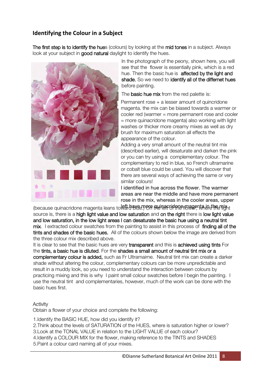# **Identifying the Colour in a Subject**

The first step is to identify the hues (colours) by looking at the mid tones in a subject. Always look at your subject in good natural daylight to identify the hues.



In the photograph of the peony, shown here, you will see that the flower is essentially pink, which is a red hue. Then the basic hue is **affected by the light and** shade, So we need to identify all of the differnet hues before painting.

The **basic hue mix** from the red palette is:

Permanent rose + a lesser amount of quincridone magenta. the mix can be biased towards a warmer or cooler red (warmer = more permanent rose and cooler = more quinacridone magenta) also working with light washes or thicker more creamy mixes as well as dry brush for maximum saturation all effects the appearance of the colour.

Adding a very small amount of the neutral tint mix (described earlier), will desaturate and darken the pink or you can try using a complementary colour. The complementary to red in blue, so French ultramarine or cobalt blue could be used. You will discover that there are several ways of achieving the same or very similar colours!

I identified in hue across the flower. The warmer areas are near the middle and have more permanent rose in the mix, whereas in the cooler areas, upper

lbecause quinacridone magenta leans to **left have. More muinacridone magenta in the mix** t source is, there is a high light value and low saturation and on the right there is low light value and low saturation, in the low light areas I can desaturate the basic hue using a neutral tint mix. I extracted colour swatches from the painting to assist in this process of finding all of the tints and shades of the basic hues. All of the colours shown below the image are derived from the three colour mix described above.

It is clear to see that the basic hues are very transparent and this is achieved using tints For the tints, a basic hue is diluted. For the shades a small amount of neutral tint mix or a complementary colour is added, such as Fr Ultramairne. Neutral tint mix can create a darker shade without altering the colour, complementary colours can be more unpredictable and result in a muddy look, so you need to understand the interaction between colours by practicing mixing and this is why I paint small colour swatches before I begin the painting. I use the neutral tint and complementaries, however, much of the work can be done with the basic hues first.

#### Activity

Obtain a flower of your choice and complete the following:

1.Identify the BASIC HUE, how did you identify it?

2.Think about the levels of SATURATION of the HUES, where is saturation higher or lower? 3.Look at the TONAL VALUE in relation to the LIGHT VALUE of each colour? 4.Identify a COLOUR MIX for the flower, making reference to the TINTS and SHADES 5.Paint a colour card naming all of your mixes.